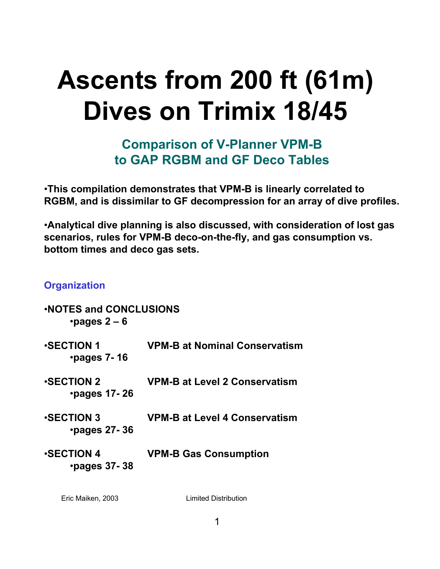# **Ascents from 200 ft (61m) Dives on Trimix 18/45**

**Comparison of V-Planner VPM-B to GAP RGBM and GF Deco Tables**

•**This compilation demonstrates that VPM-B is linearly correlated to RGBM, and is dissimilar to GF decompression for an array of dive profiles.** 

•**Analytical dive planning is also discussed, with consideration of lost gas scenarios, rules for VPM-B deco-on-the-fly, and gas consumption vs. bottom times and deco gas sets.**

#### **Organization**

| <b>.NOTES and CONCLUSIONS</b><br>$\cdot$ pages 2 – 6 |                                      |
|------------------------------------------------------|--------------------------------------|
| <b>SECTION 1</b><br>$\cdot$ pages 7-16               | <b>VPM-B at Nominal Conservatism</b> |
| <b>SECTION 2</b><br>$\cdot$ pages 17-26              | <b>VPM-B at Level 2 Conservatism</b> |
| <b>SECTION 3</b><br>$\cdot$ pages 27-36              | <b>VPM-B at Level 4 Conservatism</b> |
| <b>SECTION 4</b><br>$\cdot$ pages 37-38              | <b>VPM-B Gas Consumption</b>         |
|                                                      |                                      |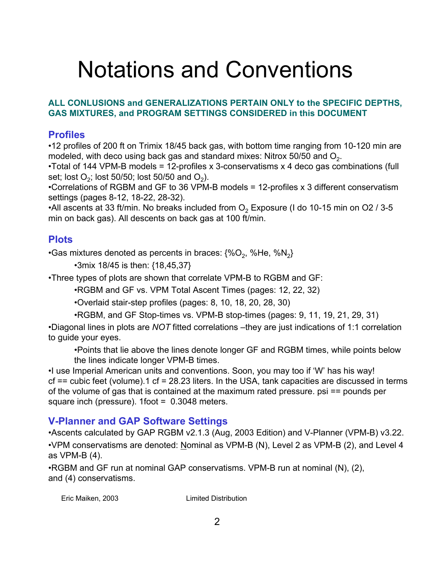# Notations and Conventions

#### **ALL CONLUSIONS and GENERALIZATIONS PERTAIN ONLY to the SPECIFIC DEPTHS, GAS MIXTURES, and PROGRAM SETTINGS CONSIDERED in this DOCUMENT**

### **Profiles**

•12 profiles of 200 ft on Trimix 18/45 back gas, with bottom time ranging from 10-120 min are modeled, with deco using back gas and standard mixes: Nitrox 50/50 and  $O<sub>2</sub>$ .

•Total of 144 VPM-B models = 12-profiles x 3-conservatisms x 4 deco gas combinations (full set; lost  $O_2$ ; lost 50/50; lost 50/50 and  $O_2$ ).

•Correlations of RGBM and GF to 36 VPM-B models = 12-profiles x 3 different conservatism settings (pages 8-12, 18-22, 28-32).

•All ascents at 33 ft/min. No breaks included from  $O<sub>2</sub>$  Exposure (I do 10-15 min on O2 / 3-5 min on back gas). All descents on back gas at 100 ft/min.

### **Plots**

•Gas mixtures denoted as percents in braces:  $\{\%O_2, \%He, \%N_2\}$ 

•3mix 18/45 is then: {18,45,37}

•Three types of plots are shown that correlate VPM-B to RGBM and GF:

•RGBM and GF vs. VPM Total Ascent Times (pages: 12, 22, 32)

•Overlaid stair-step profiles (pages: 8, 10, 18, 20, 28, 30)

•RGBM, and GF Stop-times vs. VPM-B stop-times (pages: 9, 11, 19, 21, 29, 31)

•Diagonal lines in plots are *NOT* fitted correlations –they are just indications of 1:1 correlation to guide your eyes.

•Points that lie above the lines denote longer GF and RGBM times, while points below the lines indicate longer VPM-B times.

•I use Imperial American units and conventions. Soon, you may too if 'W' has his way! cf == cubic feet (volume).1 cf = 28.23 liters. In the USA, tank capacities are discussed in terms of the volume of gas that is contained at the maximum rated pressure. psi == pounds per square inch (pressure). 1foot = 0.3048 meters.

### **V-Planner and GAP Software Settings**

•Ascents calculated by GAP RGBM v2.1.3 (Aug, 2003 Edition) and V-Planner (VPM-B) v3.22. •VPM conservatisms are denoted: Nominal as VPM-B (N), Level 2 as VPM-B (2), and Level 4 as VPM-B (4).

•RGBM and GF run at nominal GAP conservatisms. VPM-B run at nominal (N), (2), and (4) conservatisms.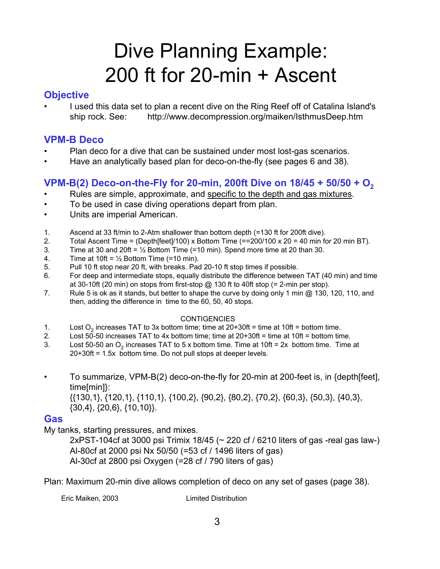## Dive Planning Example: 200 ft for 20-min + Ascent

#### **Objective**

• I used this data set to plan a recent dive on the Ring Reef off of Catalina Island's ship rock. See: http://www.decompression.org/maiken/IsthmusDeep.htm

#### **VPM-B Deco**

- Plan deco for a dive that can be sustained under most lost-gas scenarios.
- Have an analytically based plan for deco-on-the-fly (see pages 6 and 38).

### **VPM-B(2) Deco-on-the-Fly for 20-min, 200ft Dive on 18/45 + 50/50 + O2**

- Rules are simple, approximate, and specific to the depth and gas mixtures.
- To be used in case diving operations depart from plan.
- Units are imperial American.
- 1. Ascend at 33 ft/min to 2-Atm shallower than bottom depth (=130 ft for 200ft dive).
- 2. Total Ascent Time = (Depth[feet]/100) x Bottom Time (==200/100 x 20 = 40 min for 20 min BT).
- 3. Time at 30 and 20ft =  $\frac{1}{2}$  Bottom Time (=10 min). Spend more time at 20 than 30.
- 4. Time at 10ft =  $\frac{1}{2}$  Bottom Time (=10 min).
- 5. Pull 10 ft stop near 20 ft, with breaks. Pad 20-10 ft stop times if possible.
- 6. For deep and intermediate stops, equally distribute the difference between TAT (40 min) and time at 30-10ft (20 min) on stops from first-stop  $\omega$  130 ft to 40ft stop (= 2-min per stop).
- 7. Rule 5 is ok as it stands, but better to shape the curve by doing only 1 min @ 130, 120, 110, and then, adding the difference in time to the 60, 50, 40 stops.

#### **CONTIGENCIES**

- 
- 1. Lost  $O_2$  increases TAT to 3x bottom time; time at 20+30ft = time at 10ft = bottom time.<br>2. Lost 50-50 increases TAT to 4x bottom time: time at 20+30ft = time at 10ft = bottom tin Lost 50-50 increases TAT to 4x bottom time; time at  $20+30$ ft = time at 10ft = bottom time.
- 3. Lost 50-50 an  $O_2$  increases TAT to 5 x bottom time. Time at 10ft = 2x bottom time. Time at 20+30ft = 1.5x bottom time. Do not pull stops at deeper levels.
- To summarize, VPM-B(2) deco-on-the-fly for 20-min at 200-feet is, in {depth[feet], time[min]}:

{{130,1}, {120,1}, {110,1}, {100,2}, {90,2}, {80,2}, {70,2}, {60,3}, {50,3}, {40,3}, {30,4}, {20,6}, {10,10}}.

#### **Gas**

My tanks, starting pressures, and mixes.

2xPST-104cf at 3000 psi Trimix 18/45 (~ 220 cf / 6210 liters of gas -real gas law-) Al-80cf at 2000 psi Nx 50/50 (=53 cf / 1496 liters of gas) Al-30cf at 2800 psi Oxygen (=28 cf / 790 liters of gas)

Plan: Maximum 20-min dive allows completion of deco on any set of gases (page 38).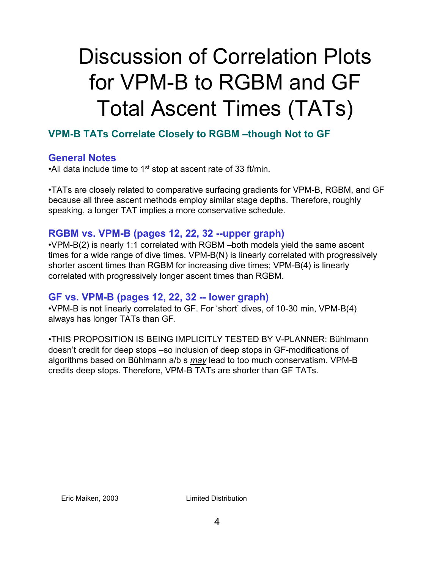# Discussion of Correlation Plots for VPM-B to RGBM and GF Total Ascent Times (TATs)

### **VPM-B TATs Correlate Closely to RGBM –though Not to GF**

### **General Notes**

•All data include time to 1<sup>st</sup> stop at ascent rate of 33 ft/min.

•TATs are closely related to comparative surfacing gradients for VPM-B, RGBM, and GF because all three ascent methods employ similar stage depths. Therefore, roughly speaking, a longer TAT implies a more conservative schedule.

### **RGBM vs. VPM-B (pages 12, 22, 32 --upper graph)**

•VPM-B(2) is nearly 1:1 correlated with RGBM –both models yield the same ascent times for a wide range of dive times. VPM-B(N) is linearly correlated with progressively shorter ascent times than RGBM for increasing dive times; VPM-B(4) is linearly correlated with progressively longer ascent times than RGBM.

#### **GF vs. VPM-B (pages 12, 22, 32 -- lower graph)**

•VPM-B is not linearly correlated to GF. For 'short' dives, of 10-30 min, VPM-B(4) always has longer TATs than GF.

•THIS PROPOSITION IS BEING IMPLICITLY TESTED BY V-PLANNER: Bühlmann doesn't credit for deep stops –so inclusion of deep stops in GF-modifications of algorithms based on Bühlmann a/b s *may* lead to too much conservatism. VPM-B credits deep stops. Therefore, VPM-B TATs are shorter than GF TATs.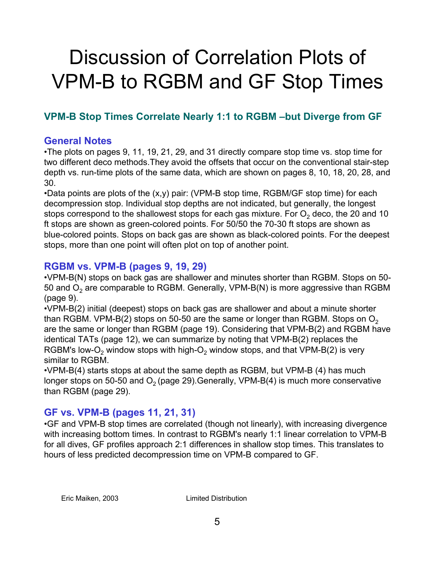## Discussion of Correlation Plots of VPM-B to RGBM and GF Stop Times

### **VPM-B Stop Times Correlate Nearly 1:1 to RGBM –but Diverge from GF**

#### **General Notes**

•The plots on pages 9, 11, 19, 21, 29, and 31 directly compare stop time vs. stop time for two different deco methods.They avoid the offsets that occur on the conventional stair-step depth vs. run-time plots of the same data, which are shown on pages 8, 10, 18, 20, 28, and 30.

•Data points are plots of the (x,y) pair: (VPM-B stop time, RGBM/GF stop time) for each decompression stop. Individual stop depths are not indicated, but generally, the longest stops correspond to the shallowest stops for each gas mixture. For  $O<sub>2</sub>$  deco, the 20 and 10 ft stops are shown as green-colored points. For 50/50 the 70-30 ft stops are shown as blue-colored points. Stops on back gas are shown as black-colored points. For the deepest stops, more than one point will often plot on top of another point.

### **RGBM vs. VPM-B (pages 9, 19, 29)**

•VPM-B(N) stops on back gas are shallower and minutes shorter than RGBM. Stops on 50- 50 and  $O<sub>2</sub>$  are comparable to RGBM. Generally, VPM-B(N) is more aggressive than RGBM (page 9).

•VPM-B(2) initial (deepest) stops on back gas are shallower and about a minute shorter than RGBM. VPM-B(2) stops on 50-50 are the same or longer than RGBM. Stops on  $O<sub>2</sub>$ are the same or longer than RGBM (page 19). Considering that VPM-B(2) and RGBM have identical TATs (page 12), we can summarize by noting that VPM-B(2) replaces the RGBM's low-O<sub>2</sub> window stops with high-O<sub>2</sub> window stops, and that VPM-B(2) is very similar to RGBM.

•VPM-B(4) starts stops at about the same depth as RGBM, but VPM-B (4) has much longer stops on 50-50 and  $O<sub>2</sub>$  (page 29). Generally, VPM-B(4) is much more conservative than RGBM (page 29).

### **GF vs. VPM-B (pages 11, 21, 31)**

•GF and VPM-B stop times are correlated (though not linearly), with increasing divergence with increasing bottom times. In contrast to RGBM's nearly 1:1 linear correlation to VPM-B for all dives, GF profiles approach 2:1 differences in shallow stop times. This translates to hours of less predicted decompression time on VPM-B compared to GF.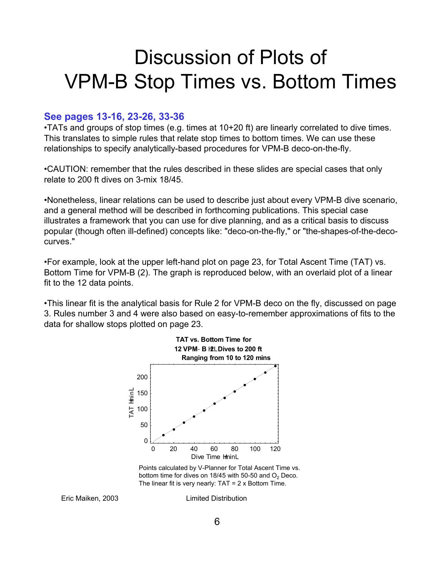### Discussion of Plots of VPM-B Stop Times vs. Bottom Times

#### **See pages 13-16, 23-26, 33-36**

•TATs and groups of stop times (e.g. times at 10+20 ft) are linearly correlated to dive times. This translates to simple rules that relate stop times to bottom times. We can use these relationships to specify analytically-based procedures for VPM-B deco-on-the-fly.

•CAUTION: remember that the rules described in these slides are special cases that only relate to 200 ft dives on 3-mix 18/45.

•Nonetheless, linear relations can be used to describe just about every VPM-B dive scenario, and a general method will be described in forthcoming publications. This special case illustrates a framework that you can use for dive planning, and as a critical basis to discuss popular (though often ill-defined) concepts like: "deco-on-the-fly," or "the-shapes-of-the-decocurves."

•For example, look at the upper left-hand plot on page 23, for Total Ascent Time (TAT) vs. Bottom Time for VPM-B (2). The graph is reproduced below, with an overlaid plot of a linear fit to the 12 data points.

•This linear fit is the analytical basis for Rule 2 for VPM-B deco on the fly, discussed on page 3. Rules number 3 and 4 were also based on easy-to-remember approximations of fits to the data for shallow stops plotted on page 23.



Points calculated by V-Planner for Total Ascent Time vs. bottom time for dives on 18/45 with 50-50 and  $O<sub>2</sub>$  Deco. The linear fit is very nearly:  $TAT = 2 \times$  Bottom Time.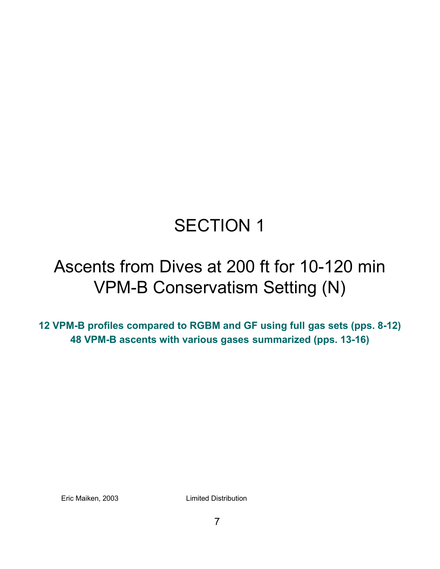### SECTION 1

### Ascents from Dives at 200 ft for 10-120 min VPM-B Conservatism Setting (N)

**12 VPM-B profiles compared to RGBM and GF using full gas sets (pps. 8-12) 48 VPM-B ascents with various gases summarized (pps. 13-16)**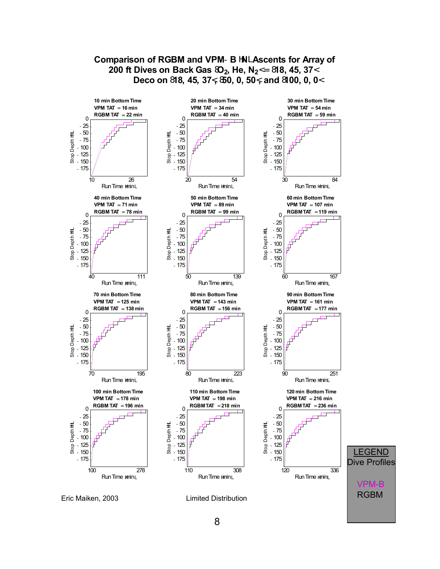

**Comparison of RGBM and VPM**-**B** <sup>H</sup>**N**<sup>L</sup> **Ascents for Array of**

#### 8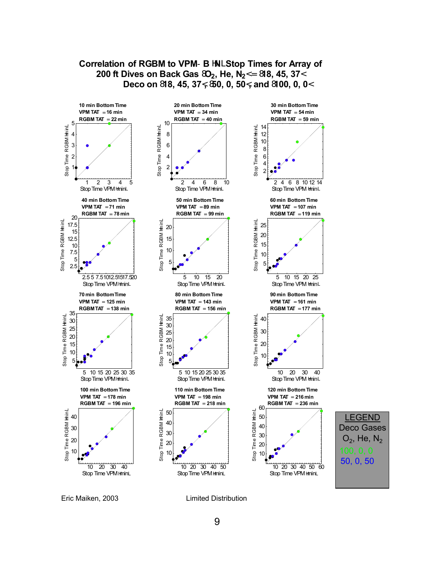

Eric Maiken, 2003 Limited Distribution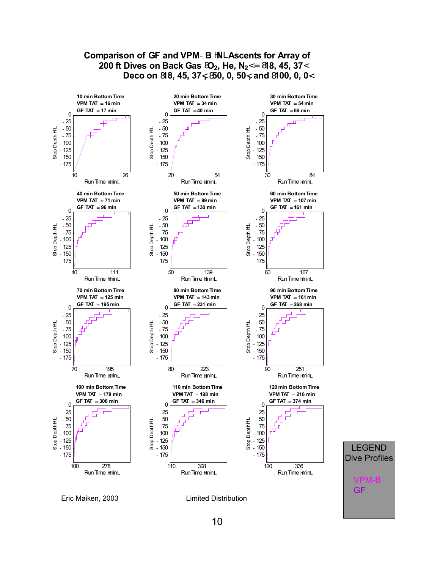

### 10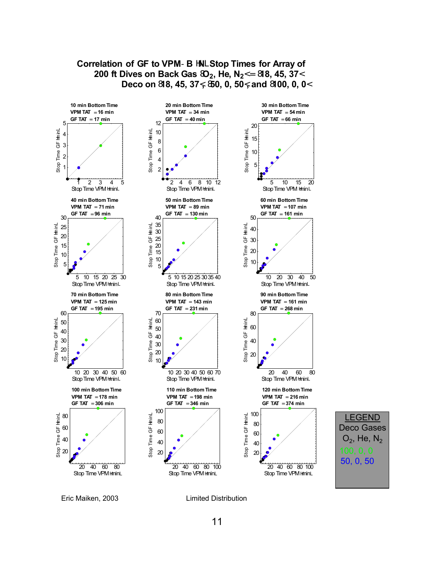

**Correlation of GF to VPM**-**B** <sup>H</sup>**N**<sup>L</sup> **Stop Times for Array of**



Eric Maiken, 2003 Limited Distribution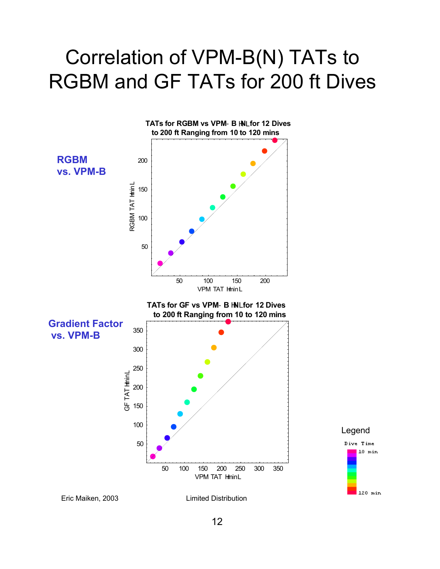### Correlation of VPM-B(N) TATs to RGBM and GF TATs for 200 ft Dives

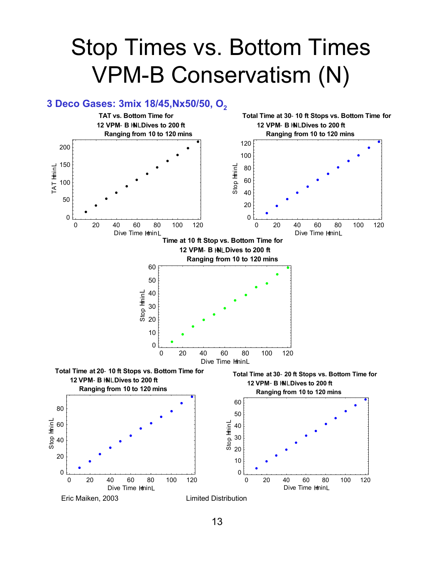## Stop Times vs. Bottom Times VPM-B Conservatism (N)

#### **3 Deco Gases: 3mix 18/45,Nx50/50, O2**

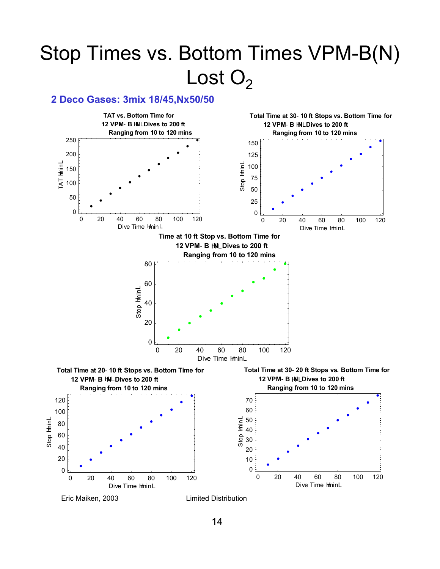## Stop Times vs. Bottom Times VPM-B(N) Lost  $O<sub>2</sub>$

#### **2 Deco Gases: 3mix 18/45,Nx50/50**

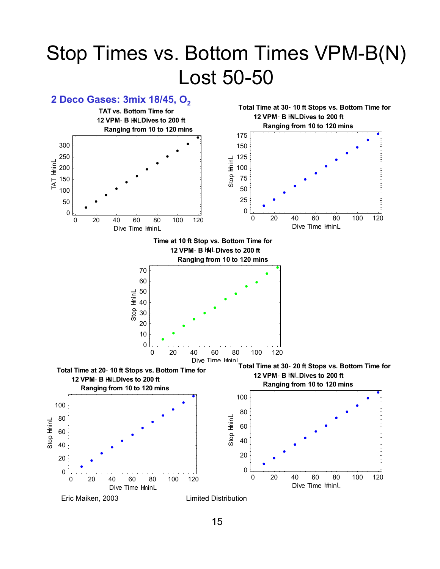### Stop Times vs. Bottom Times VPM-B(N) Lost 50-50

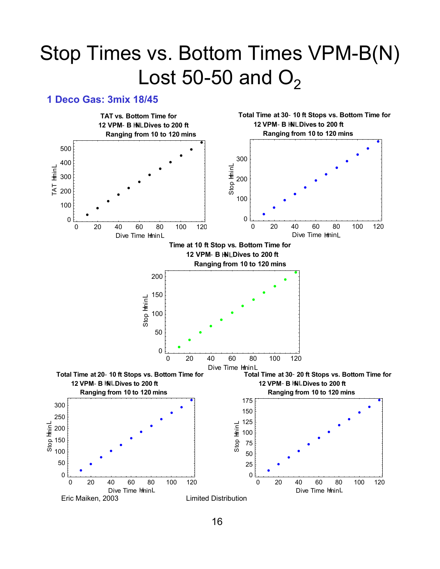### Stop Times vs. Bottom Times VPM-B(N) Lost 50-50 and  $O<sub>2</sub>$

#### **1 Deco Gas: 3mix 18/45**

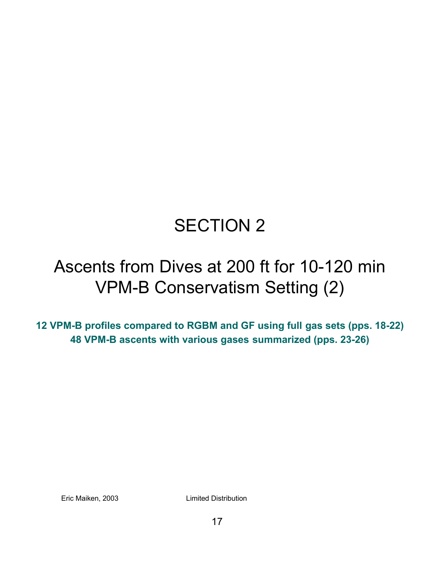### SECTION 2

### Ascents from Dives at 200 ft for 10-120 min VPM-B Conservatism Setting (2)

**12 VPM-B profiles compared to RGBM and GF using full gas sets (pps. 18-22) 48 VPM-B ascents with various gases summarized (pps. 23-26)**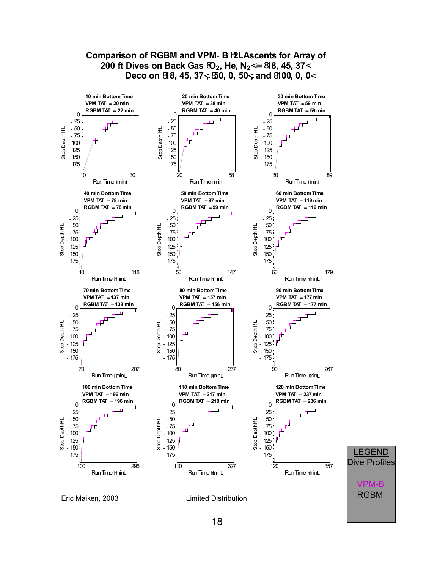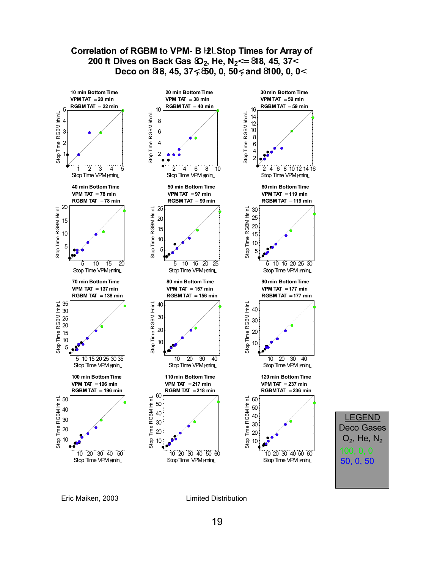

![](_page_18_Figure_1.jpeg)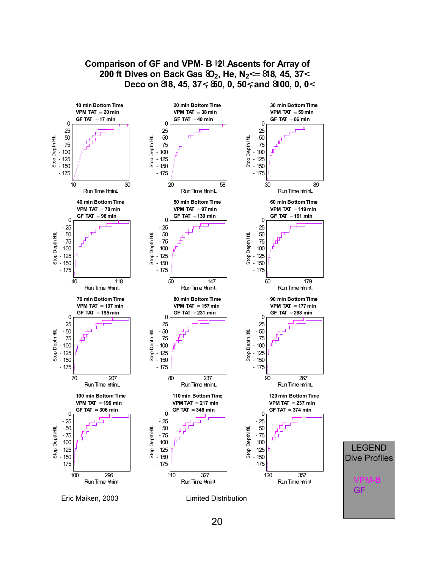![](_page_19_Figure_0.jpeg)

### **Comparison of GF and VPM**-**B** <sup>H</sup>**2**<sup>L</sup> **Ascents for Array of 200 ft Dives on Back Gas**  $\mathfrak{D}_2$ **, He, N<sub>2</sub><= 818, 45, 37<**

20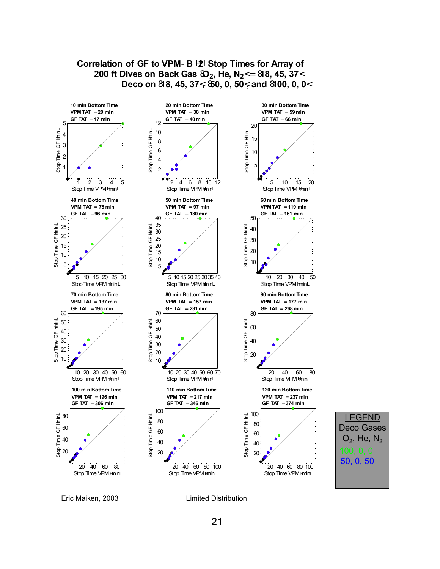![](_page_20_Figure_0.jpeg)

**Correlation of GF to VPM**-**B** <sup>H</sup>**2**<sup>L</sup> **Stop Times for Array of**

### 50, 0, 50 LEGEND Deco Gases  $O_2$ , He, N<sub>2</sub>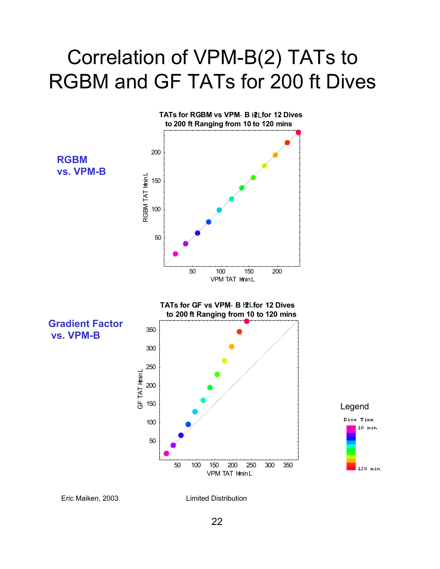### Correlation of VPM-B(2) TATs to RGBM and GF TATs for 200 ft Dives

![](_page_21_Figure_1.jpeg)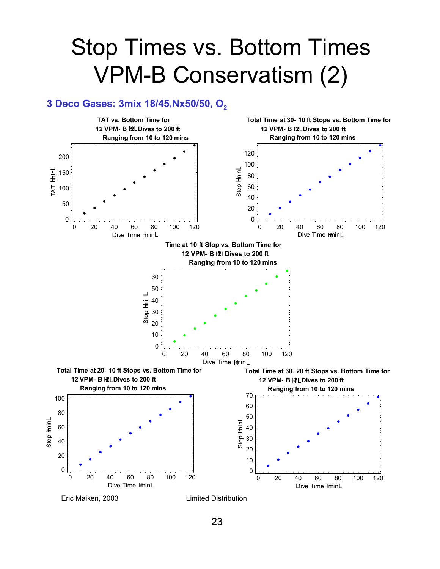## Stop Times vs. Bottom Times VPM-B Conservatism (2)

#### 3 Deco Gases: 3mix 18/45, Nx50/50, O<sub>2</sub>

![](_page_22_Figure_2.jpeg)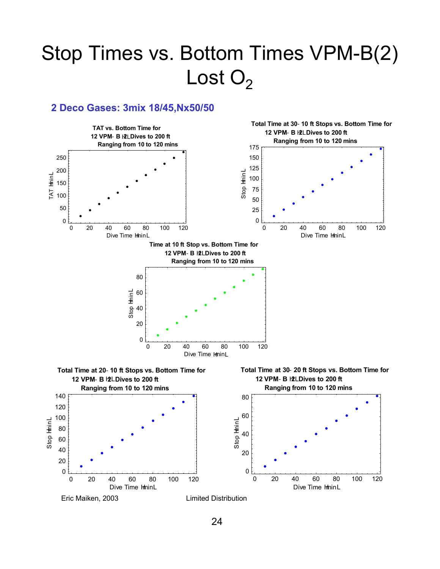## Stop Times vs. Bottom Times VPM-B(2) Lost  $O<sub>2</sub>$

### **2 Deco Gases: 3mix 18/45,Nx50/50**

![](_page_23_Figure_2.jpeg)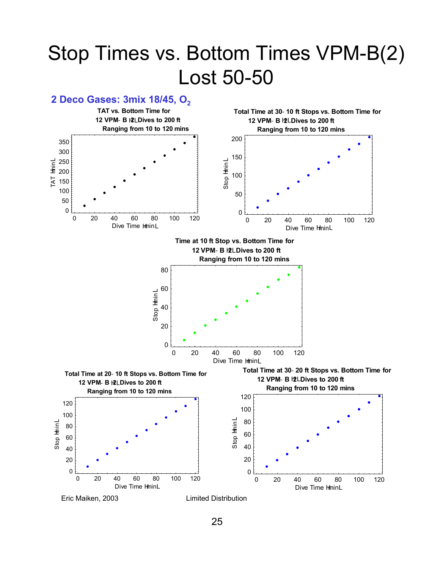### Stop Times vs. Bottom Times VPM-B(2) Lost 50-50

![](_page_24_Figure_1.jpeg)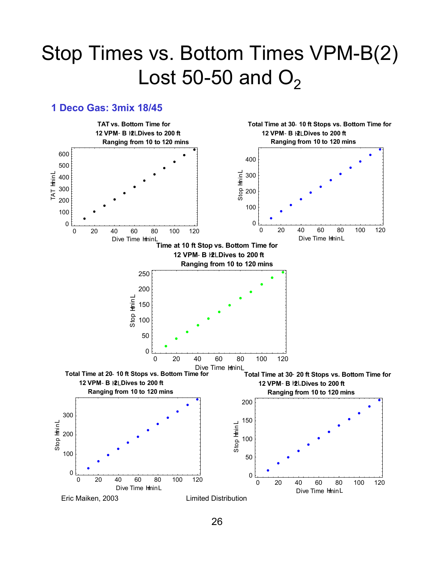### Stop Times vs. Bottom Times VPM-B(2) Lost 50-50 and  $O<sub>2</sub>$

#### **1 Deco Gas: 3mix 18/45**

![](_page_25_Figure_2.jpeg)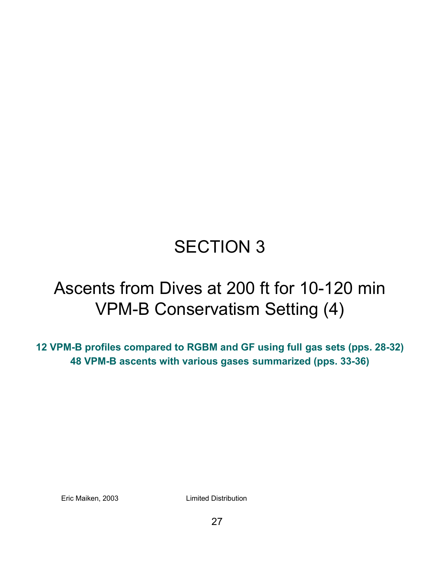### SECTION 3

### Ascents from Dives at 200 ft for 10-120 min VPM-B Conservatism Setting (4)

**12 VPM-B profiles compared to RGBM and GF using full gas sets (pps. 28-32) 48 VPM-B ascents with various gases summarized (pps. 33-36)**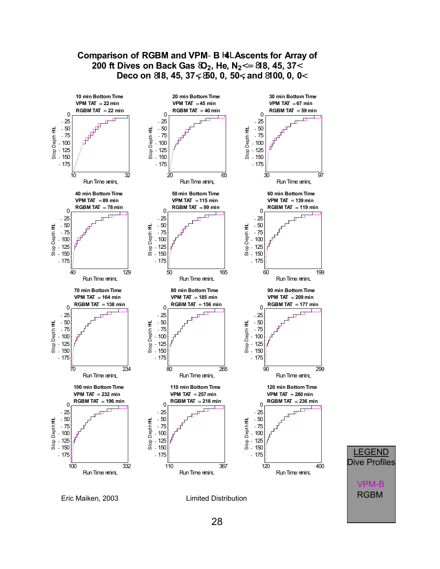![](_page_27_Figure_0.jpeg)

### **Comparison of RGBM and VPM**-**B** <sup>H</sup>**4**<sup>L</sup> **Ascents for Array of 200 ft Dives on Back Gas**  $\Omega_2$ **, He, N<sub>2</sub><= 818, 45, 37<**

![](_page_27_Figure_2.jpeg)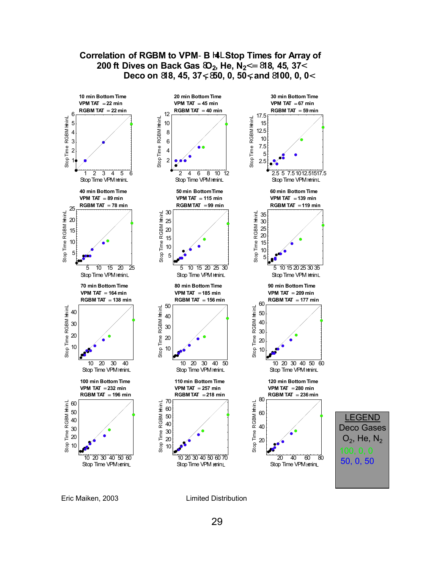![](_page_28_Figure_0.jpeg)

Eric Maiken, 2003 Limited Distribution

29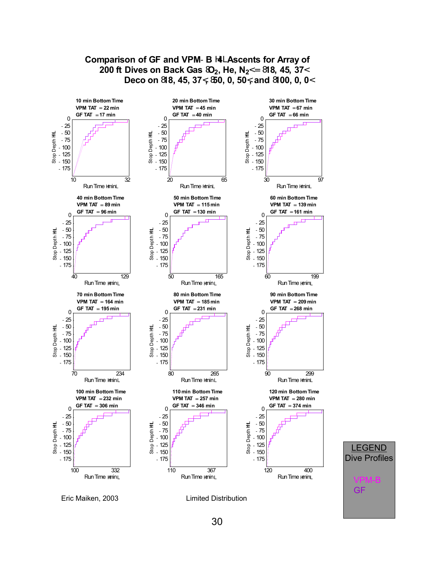![](_page_29_Figure_0.jpeg)

**Comparison of GF and VPM**-**B** <sup>H</sup>**4**<sup>L</sup> **Ascents for Array of**

![](_page_29_Figure_1.jpeg)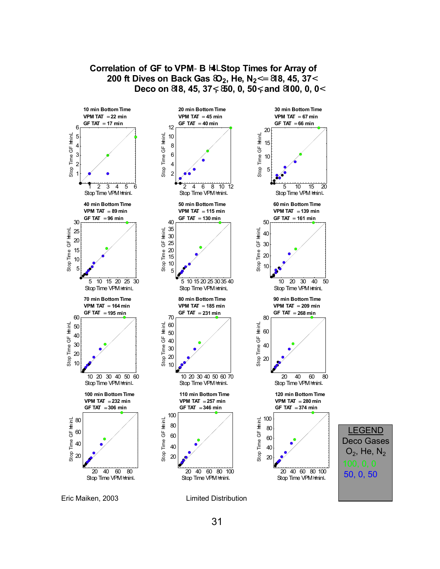![](_page_30_Figure_0.jpeg)

#### **Correlation of GF to VPM**-**B** <sup>H</sup>**4**<sup>L</sup> **Stop Times for Array of 200 ft Dives on Back Gas**  $\mathfrak{D}_2$ **, He, N<sub>2</sub><= 818, 45, 37< Deco on** <sup>8</sup>**18, 45, 37**<**,** <sup>8</sup>**50, 0, 50**<**, and** <sup>8</sup>**100, 0, 0**<sup>&</sup>lt;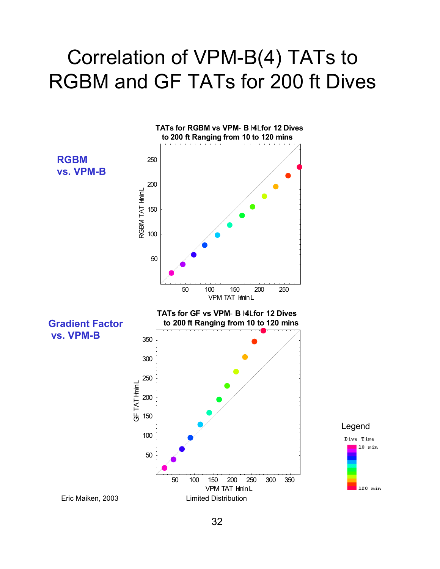### Correlation of VPM-B(4) TATs to RGBM and GF TATs for 200 ft Dives

![](_page_31_Figure_1.jpeg)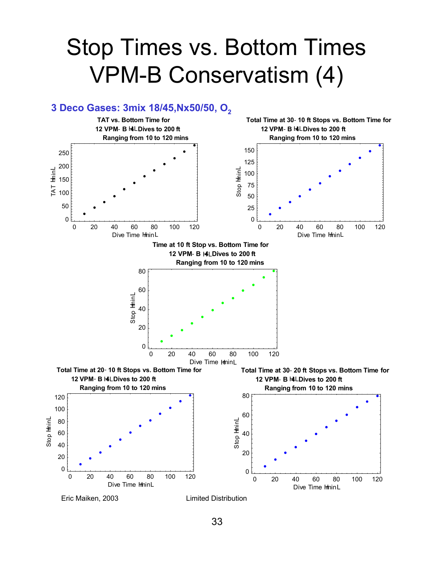## Stop Times vs. Bottom Times VPM-B Conservatism (4)

![](_page_32_Figure_1.jpeg)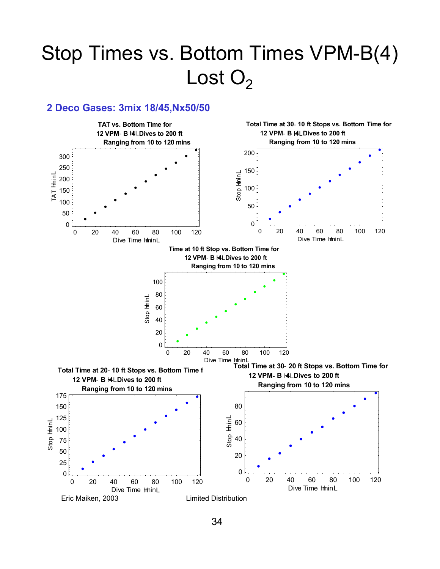## Stop Times vs. Bottom Times VPM-B(4) Lost  $O<sub>2</sub>$

#### **2 Deco Gases: 3mix 18/45,Nx50/50**

![](_page_33_Figure_2.jpeg)

34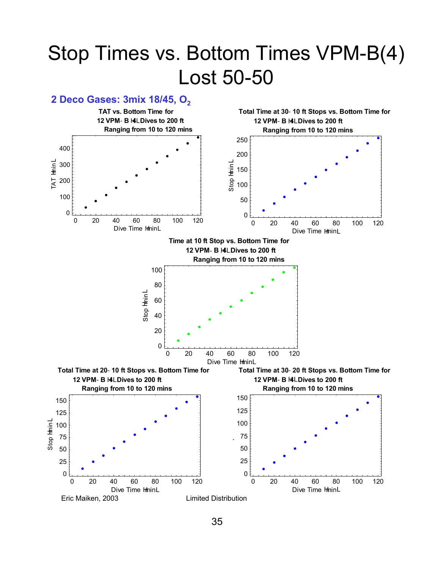### Stop Times vs. Bottom Times VPM-B(4) Lost 50-50

### **2 Deco Gases: 3mix 18/45, O<sub>2</sub>**

![](_page_34_Figure_2.jpeg)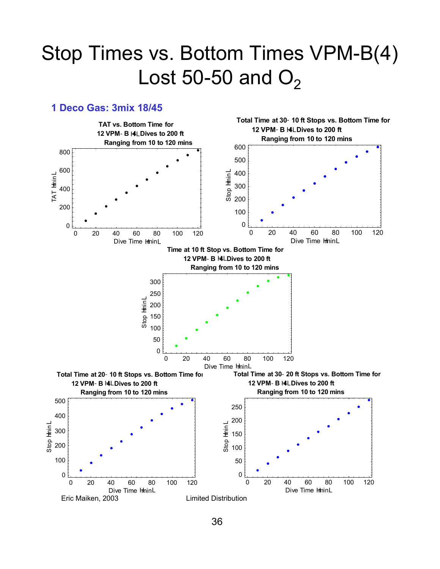### Stop Times vs. Bottom Times VPM-B(4) Lost 50-50 and  $O<sub>2</sub>$

#### **1 Deco Gas: 3mix 18/45**

![](_page_35_Figure_2.jpeg)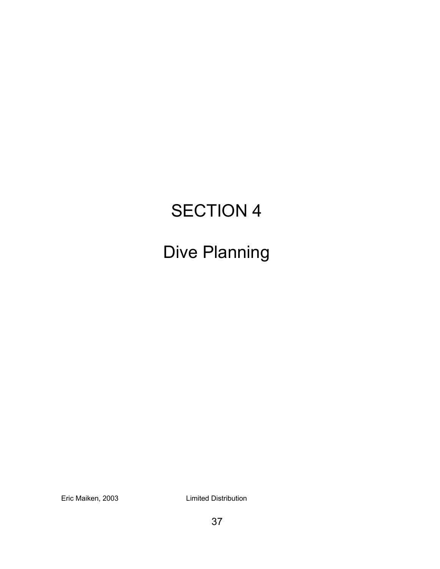### SECTION 4

### Dive Planning